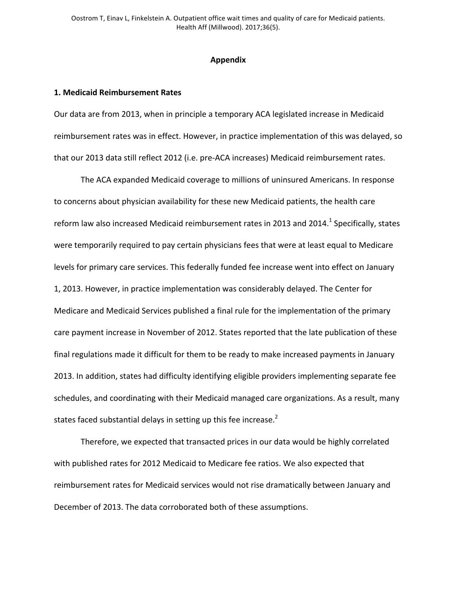# **Appendix**

# **1. Medicaid Reimbursement Rates**

Our data are from 2013, when in principle a temporary ACA legislated increase in Medicaid reimbursement rates was in effect. However, in practice implementation of this was delayed, so that our 2013 data still reflect 2012 (i.e. pre-ACA increases) Medicaid reimbursement rates.

The ACA expanded Medicaid coverage to millions of uninsured Americans. In response to concerns about physician availability for these new Medicaid patients, the health care reform law also increased Medicaid reimbursement rates in 2013 and 2014.<sup>1</sup> Specifically, states were temporarily required to pay certain physicians fees that were at least equal to Medicare levels for primary care services. This federally funded fee increase went into effect on January 1, 2013. However, in practice implementation was considerably delayed. The Center for Medicare and Medicaid Services published a final rule for the implementation of the primary care payment increase in November of 2012. States reported that the late publication of these final regulations made it difficult for them to be ready to make increased payments in January 2013. In addition, states had difficulty identifying eligible providers implementing separate fee schedules, and coordinating with their Medicaid managed care organizations. As a result, many states faced substantial delays in setting up this fee increase. $2$ 

Therefore, we expected that transacted prices in our data would be highly correlated with published rates for 2012 Medicaid to Medicare fee ratios. We also expected that reimbursement rates for Medicaid services would not rise dramatically between January and December of 2013. The data corroborated both of these assumptions.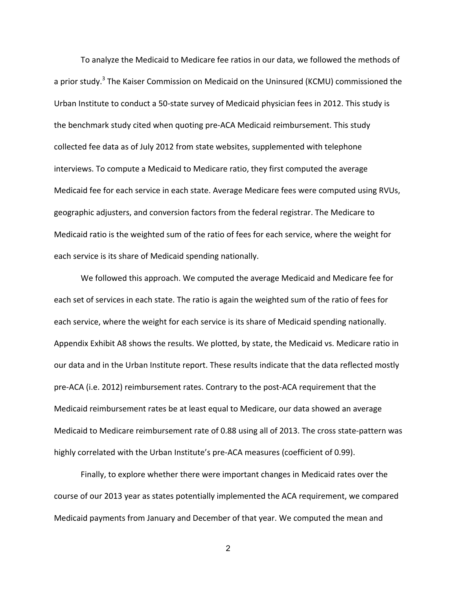To analyze the Medicaid to Medicare fee ratios in our data, we followed the methods of a prior study.<sup>3</sup> The Kaiser Commission on Medicaid on the Uninsured (KCMU) commissioned the Urban Institute to conduct a 50-state survey of Medicaid physician fees in 2012. This study is the benchmark study cited when quoting pre-ACA Medicaid reimbursement. This study collected fee data as of July 2012 from state websites, supplemented with telephone interviews. To compute a Medicaid to Medicare ratio, they first computed the average Medicaid fee for each service in each state. Average Medicare fees were computed using RVUs, geographic adjusters, and conversion factors from the federal registrar. The Medicare to Medicaid ratio is the weighted sum of the ratio of fees for each service, where the weight for each service is its share of Medicaid spending nationally.

We followed this approach. We computed the average Medicaid and Medicare fee for each set of services in each state. The ratio is again the weighted sum of the ratio of fees for each service, where the weight for each service is its share of Medicaid spending nationally. Appendix Exhibit A8 shows the results. We plotted, by state, the Medicaid vs. Medicare ratio in our data and in the Urban Institute report. These results indicate that the data reflected mostly pre-ACA (i.e. 2012) reimbursement rates. Contrary to the post-ACA requirement that the Medicaid reimbursement rates be at least equal to Medicare, our data showed an average Medicaid to Medicare reimbursement rate of 0.88 using all of 2013. The cross state-pattern was highly correlated with the Urban Institute's pre-ACA measures (coefficient of 0.99).

Finally, to explore whether there were important changes in Medicaid rates over the course of our 2013 year as states potentially implemented the ACA requirement, we compared Medicaid payments from January and December of that year. We computed the mean and

2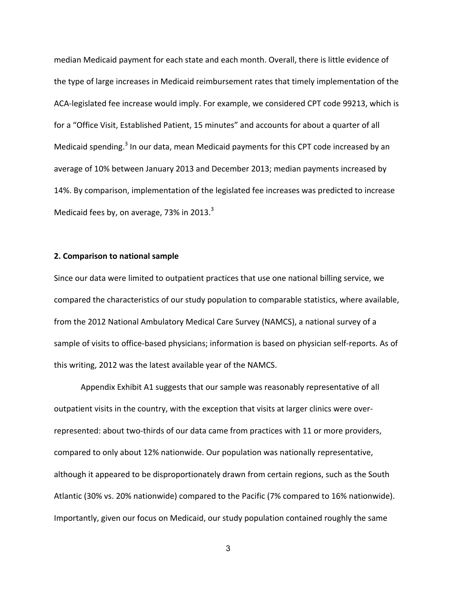median Medicaid payment for each state and each month. Overall, there is little evidence of the type of large increases in Medicaid reimbursement rates that timely implementation of the ACA-legislated fee increase would imply. For example, we considered CPT code 99213, which is for a "Office Visit, Established Patient, 15 minutes" and accounts for about a quarter of all Medicaid spending.<sup>3</sup> In our data, mean Medicaid payments for this CPT code increased by an average of 10% between January 2013 and December 2013; median payments increased by 14%. By comparison, implementation of the legislated fee increases was predicted to increase Medicaid fees by, on average, 73% in 2013. $3$ 

### **2. Comparison to national sample**

Since our data were limited to outpatient practices that use one national billing service, we compared the characteristics of our study population to comparable statistics, where available, from the 2012 National Ambulatory Medical Care Survey (NAMCS), a national survey of a sample of visits to office-based physicians; information is based on physician self-reports. As of this writing, 2012 was the latest available year of the NAMCS.

Appendix Exhibit A1 suggests that our sample was reasonably representative of all outpatient visits in the country, with the exception that visits at larger clinics were overrepresented: about two-thirds of our data came from practices with 11 or more providers, compared to only about 12% nationwide. Our population was nationally representative, although it appeared to be disproportionately drawn from certain regions, such as the South Atlantic (30% vs. 20% nationwide) compared to the Pacific (7% compared to 16% nationwide). Importantly, given our focus on Medicaid, our study population contained roughly the same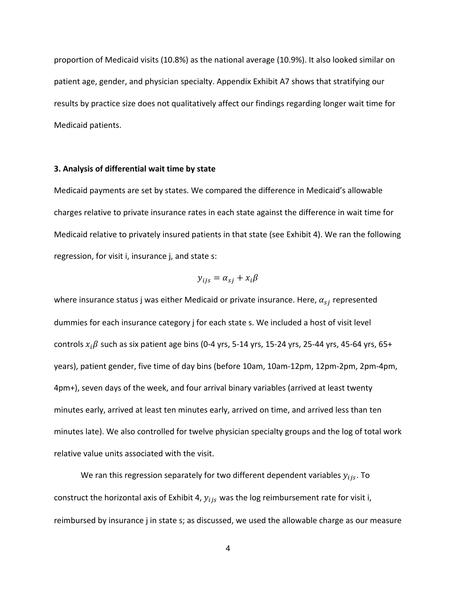proportion of Medicaid visits (10.8%) as the national average (10.9%). It also looked similar on patient age, gender, and physician specialty. Appendix Exhibit A7 shows that stratifying our results by practice size does not qualitatively affect our findings regarding longer wait time for Medicaid patients.

### **3. Analysis of differential wait time by state**

Medicaid payments are set by states. We compared the difference in Medicaid's allowable charges relative to private insurance rates in each state against the difference in wait time for Medicaid relative to privately insured patients in that state (see Exhibit 4). We ran the following regression, for visit i, insurance j, and state s:

$$
y_{ijs} = \alpha_{sj} + x_i \beta
$$

where insurance status j was either Medicaid or private insurance. Here,  $\alpha_{si}$  represented dummies for each insurance category *j* for each state s. We included a host of visit level controls  $x_i\beta$  such as six patient age bins (0-4 yrs, 5-14 yrs, 15-24 yrs, 25-44 yrs, 45-64 yrs, 65+ years), patient gender, five time of day bins (before 10am, 10am-12pm, 12pm-2pm, 2pm-4pm, 4pm+), seven days of the week, and four arrival binary variables (arrived at least twenty minutes early, arrived at least ten minutes early, arrived on time, and arrived less than ten minutes late). We also controlled for twelve physician specialty groups and the log of total work relative value units associated with the visit.

We ran this regression separately for two different dependent variables  $y_{ijs}$ . To construct the horizontal axis of Exhibit 4,  $y_{ijs}$  was the log reimbursement rate for visit i, reimbursed by insurance *j* in state s; as discussed, we used the allowable charge as our measure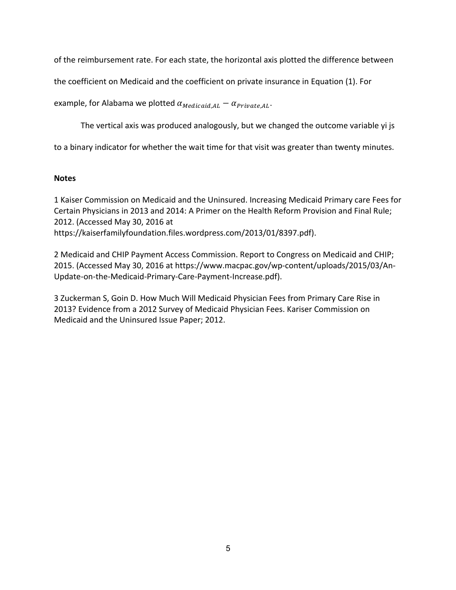of the reimbursement rate. For each state, the horizontal axis plotted the difference between

the coefficient on Medicaid and the coefficient on private insurance in Equation (1). For

example, for Alabama we plotted  $\alpha_{Medical, AL} - \alpha_{Private, AL}$ .

The vertical axis was produced analogously, but we changed the outcome variable yi js

to a binary indicator for whether the wait time for that visit was greater than twenty minutes.

# **Notes**

1 Kaiser Commission on Medicaid and the Uninsured. Increasing Medicaid Primary care Fees for Certain Physicians in 2013 and 2014: A Primer on the Health Reform Provision and Final Rule; 2012. (Accessed May 30, 2016 at https://kaiserfamilyfoundation.files.wordpress.com/2013/01/8397.pdf).

2 Medicaid and CHIP Payment Access Commission. Report to Congress on Medicaid and CHIP; 2015. (Accessed May 30, 2016 at https://www.macpac.gov/wp-content/uploads/2015/03/An-Update-on-the-Medicaid-Primary-Care-Payment-Increase.pdf).

3 Zuckerman S, Goin D. How Much Will Medicaid Physician Fees from Primary Care Rise in 2013? Evidence from a 2012 Survey of Medicaid Physician Fees. Kariser Commission on Medicaid and the Uninsured Issue Paper; 2012.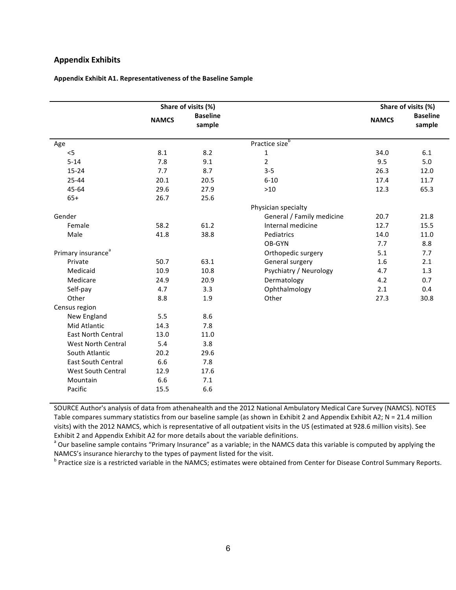### **Appendix Exhibits**

|  | Appendix Exhibit A1. Representativeness of the Baseline Sample |  |
|--|----------------------------------------------------------------|--|
|--|----------------------------------------------------------------|--|

|                                |              | Share of visits (%)       |                            |              | Share of visits (%)       |
|--------------------------------|--------------|---------------------------|----------------------------|--------------|---------------------------|
|                                | <b>NAMCS</b> | <b>Baseline</b><br>sample |                            | <b>NAMCS</b> | <b>Baseline</b><br>sample |
| Age                            |              |                           | Practice size <sup>b</sup> |              |                           |
| $<$ 5                          | 8.1          | 8.2                       | $\mathbf 1$                | 34.0         | 6.1                       |
| $5 - 14$                       | 7.8          | 9.1                       | $\overline{2}$             | 9.5          | 5.0                       |
| $15 - 24$                      | 7.7          | 8.7                       | $3 - 5$                    | 26.3         | 12.0                      |
| 25-44                          | 20.1         | 20.5                      | $6 - 10$                   | 17.4         | 11.7                      |
| 45-64                          | 29.6         | 27.9                      | $>10$                      | 12.3         | 65.3                      |
| $65+$                          | 26.7         | 25.6                      |                            |              |                           |
|                                |              |                           | Physician specialty        |              |                           |
| Gender                         |              |                           | General / Family medicine  | 20.7         | 21.8                      |
| Female                         | 58.2         | 61.2                      | Internal medicine          | 12.7         | 15.5                      |
| Male                           | 41.8         | 38.8                      | Pediatrics                 | 14.0         | 11.0                      |
|                                |              |                           | OB-GYN                     | 7.7          | 8.8                       |
| Primary insurance <sup>a</sup> |              |                           | Orthopedic surgery         | 5.1          | 7.7                       |
| Private                        | 50.7         | 63.1                      | General surgery            | 1.6          | 2.1                       |
| Medicaid                       | 10.9         | 10.8                      | Psychiatry / Neurology     | 4.7          | 1.3                       |
| Medicare                       | 24.9         | 20.9                      | Dermatology                | 4.2          | 0.7                       |
| Self-pay                       | 4.7          | 3.3                       | Ophthalmology              | 2.1          | 0.4                       |
| Other                          | 8.8          | 1.9                       | Other                      | 27.3         | 30.8                      |
| Census region                  |              |                           |                            |              |                           |
| New England                    | 5.5          | 8.6                       |                            |              |                           |
| Mid Atlantic                   | 14.3         | 7.8                       |                            |              |                           |
| <b>East North Central</b>      | 13.0         | 11.0                      |                            |              |                           |
| <b>West North Central</b>      | 5.4          | 3.8                       |                            |              |                           |
| South Atlantic                 | 20.2         | 29.6                      |                            |              |                           |
| <b>East South Central</b>      | 6.6          | 7.8                       |                            |              |                           |
| West South Central             | 12.9         | 17.6                      |                            |              |                           |
| Mountain                       | 6.6          | 7.1                       |                            |              |                           |
| Pacific                        | 15.5         | 6.6                       |                            |              |                           |

SOURCE Author's analysis of data from athenahealth and the 2012 National Ambulatory Medical Care Survey (NAMCS). NOTES Table compares summary statistics from our baseline sample (as shown in Exhibit 2 and Appendix Exhibit A2; N = 21.4 million visits) with the 2012 NAMCS, which is representative of all outpatient visits in the US (estimated at 928.6 million visits). See Exhibit 2 and Appendix Exhibit A2 for more details about the variable definitions.

<sup>a</sup> Our baseline sample contains "Primary Insurance" as a variable; in the NAMCS data this variable is computed by applying the NAMCS's insurance hierarchy to the types of payment listed for the visit.

<sup>b</sup> Practice size is a restricted variable in the NAMCS; estimates were obtained from Center for Disease Control Summary Reports.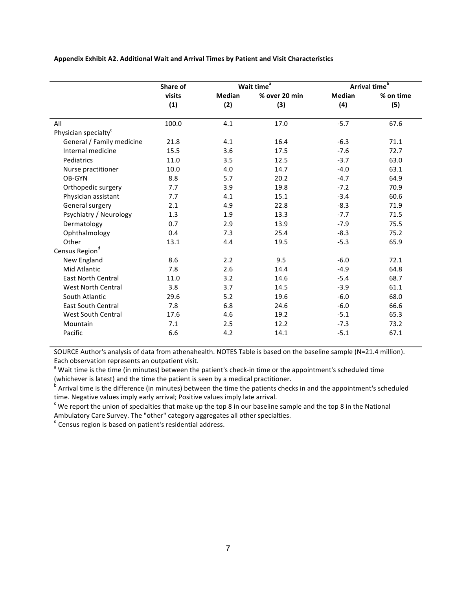|                                  | Share of | Wait time <sup>a</sup> |               |               | Arrival time <sup>b</sup> |
|----------------------------------|----------|------------------------|---------------|---------------|---------------------------|
|                                  | visits   | <b>Median</b>          | % over 20 min | <b>Median</b> | % on time                 |
|                                  | (1)      | (2)                    | (3)           | (4)           | (5)                       |
| All                              | 100.0    | 4.1                    | 17.0          | $-5.7$        | 67.6                      |
| Physician specialty <sup>c</sup> |          |                        |               |               |                           |
|                                  |          |                        |               |               |                           |
| General / Family medicine        | 21.8     | 4.1                    | 16.4          | $-6.3$        | 71.1                      |
| Internal medicine                | 15.5     | 3.6                    | 17.5          | $-7.6$        | 72.7                      |
| Pediatrics                       | 11.0     | 3.5                    | 12.5          | $-3.7$        | 63.0                      |
| Nurse practitioner               | 10.0     | 4.0                    | 14.7          | $-4.0$        | 63.1                      |
| OB-GYN                           | 8.8      | 5.7                    | 20.2          | $-4.7$        | 64.9                      |
| Orthopedic surgery               | 7.7      | 3.9                    | 19.8          | $-7.2$        | 70.9                      |
| Physician assistant              | 7.7      | 4.1                    | 15.1          | $-3.4$        | 60.6                      |
| General surgery                  | 2.1      | 4.9                    | 22.8          | $-8.3$        | 71.9                      |
| Psychiatry / Neurology           | 1.3      | 1.9                    | 13.3          | $-7.7$        | 71.5                      |
| Dermatology                      | 0.7      | 2.9                    | 13.9          | $-7.9$        | 75.5                      |
| Ophthalmology                    | 0.4      | 7.3                    | 25.4          | $-8.3$        | 75.2                      |
| Other                            | 13.1     | 4.4                    | 19.5          | $-5.3$        | 65.9                      |
| Census Region <sup>d</sup>       |          |                        |               |               |                           |
| New England                      | 8.6      | 2.2                    | 9.5           | $-6.0$        | 72.1                      |
| Mid Atlantic                     | 7.8      | 2.6                    | 14.4          | $-4.9$        | 64.8                      |
| <b>East North Central</b>        | 11.0     | 3.2                    | 14.6          | $-5.4$        | 68.7                      |
| <b>West North Central</b>        | 3.8      | 3.7                    | 14.5          | $-3.9$        | 61.1                      |
| South Atlantic                   | 29.6     | 5.2                    | 19.6          | $-6.0$        | 68.0                      |
| <b>East South Central</b>        | 7.8      | 6.8                    | 24.6          | $-6.0$        | 66.6                      |
| West South Central               | 17.6     | 4.6                    | 19.2          | $-5.1$        | 65.3                      |
| Mountain                         | 7.1      | 2.5                    | 12.2          | $-7.3$        | 73.2                      |
| Pacific                          | 6.6      | 4.2                    | 14.1          | $-5.1$        | 67.1                      |
|                                  |          |                        |               |               |                           |

Appendix Exhibit A2. Additional Wait and Arrival Times by Patient and Visit Characteristics

SOURCE Author's analysis of data from athenahealth. NOTES Table is based on the baseline sample (N=21.4 million). Each observation represents an outpatient visit.

<sup>a</sup> Wait time is the time (in minutes) between the patient's check-in time or the appointment's scheduled time (whichever is latest) and the time the patient is seen by a medical practitioner.

b Arrival time is the difference (in minutes) between the time the patients checks in and the appointment's scheduled time. Negative values imply early arrival; Positive values imply late arrival.

 $\epsilon$  We report the union of specialties that make up the top 8 in our baseline sample and the top 8 in the National Ambulatory Care Survey. The "other" category aggregates all other specialties.<br> $d$  Census region is based on patient's residential address.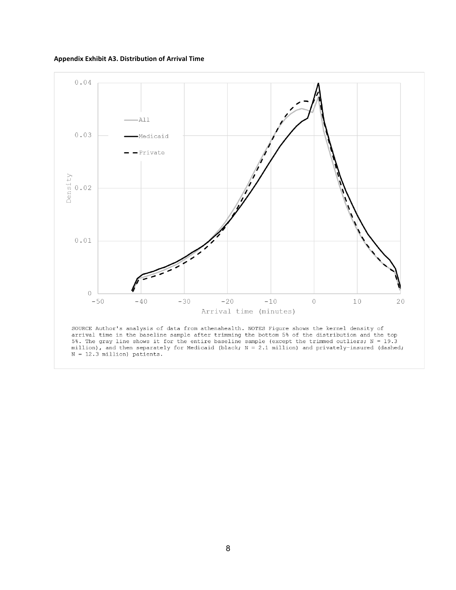**Appendix Exhibit A3. Distribution of Arrival Time**

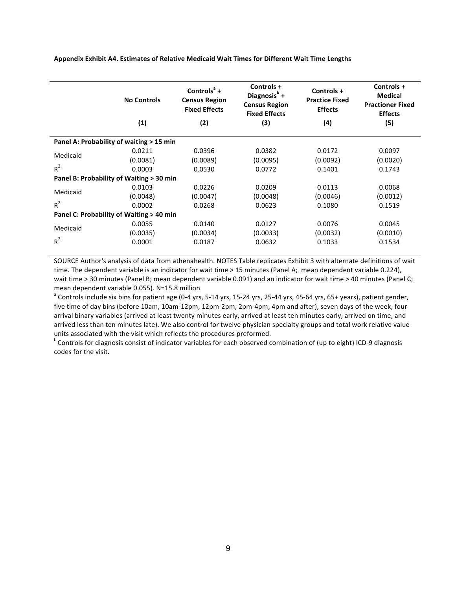Appendix Exhibit A4. Estimates of Relative Medicaid Wait Times for Different Wait Time Lengths

|          | <b>No Controls</b><br>(1)                | Controls $a +$<br><b>Census Region</b><br><b>Fixed Effects</b><br>(2) | Controls +<br>Diagnosis $b$ +<br><b>Census Region</b><br><b>Fixed Effects</b><br>(3) | Controls +<br><b>Practice Fixed</b><br><b>Effects</b><br>(4) | Controls +<br><b>Medical</b><br><b>Practioner Fixed</b><br><b>Effects</b><br>(5) |
|----------|------------------------------------------|-----------------------------------------------------------------------|--------------------------------------------------------------------------------------|--------------------------------------------------------------|----------------------------------------------------------------------------------|
|          | Panel A: Probability of waiting > 15 min |                                                                       |                                                                                      |                                                              |                                                                                  |
|          | 0.0211                                   | 0.0396                                                                | 0.0382                                                                               | 0.0172                                                       | 0.0097                                                                           |
| Medicaid | (0.0081)                                 | (0.0089)                                                              | (0.0095)                                                                             | (0.0092)                                                     | (0.0020)                                                                         |
| $R^2$    | 0.0003                                   | 0.0530                                                                | 0.0772                                                                               | 0.1401                                                       | 0.1743                                                                           |
|          | Panel B: Probability of Waiting > 30 min |                                                                       |                                                                                      |                                                              |                                                                                  |
|          | 0.0103                                   | 0.0226                                                                | 0.0209                                                                               | 0.0113                                                       | 0.0068                                                                           |
| Medicaid | (0.0048)                                 | (0.0047)                                                              | (0.0048)                                                                             | (0.0046)                                                     | (0.0012)                                                                         |
| $R^2$    | 0.0002                                   | 0.0268                                                                | 0.0623                                                                               | 0.1080                                                       | 0.1519                                                                           |
|          | Panel C: Probability of Waiting > 40 min |                                                                       |                                                                                      |                                                              |                                                                                  |
|          | 0.0055                                   | 0.0140                                                                | 0.0127                                                                               | 0.0076                                                       | 0.0045                                                                           |
| Medicaid | (0.0035)                                 | (0.0034)                                                              | (0.0033)                                                                             | (0.0032)                                                     | (0.0010)                                                                         |
| $R^2$    | 0.0001                                   | 0.0187                                                                | 0.0632                                                                               | 0.1033                                                       | 0.1534                                                                           |
|          |                                          |                                                                       |                                                                                      |                                                              |                                                                                  |

SOURCE Author's analysis of data from athenahealth. NOTES Table replicates Exhibit 3 with alternate definitions of wait time. The dependent variable is an indicator for wait time > 15 minutes (Panel A; mean dependent variable 0.224), wait time > 30 minutes (Panel B; mean dependent variable 0.091) and an indicator for wait time > 40 minutes (Panel C; mean dependent variable 0.055). N=15.8 million<br><sup>a</sup> Controls include six bins for patient age (0-4 yrs, 5-14 yrs, 15-24 yrs, 25-44 yrs, 45-64 yrs, 65+ years), patient gender,

five time of day bins (before 10am, 10am-12pm, 12pm-2pm, 2pm-4pm, 4pm and after), seven days of the week, four arrival binary variables (arrived at least twenty minutes early, arrived at least ten minutes early, arrived on time, and arrived less than ten minutes late). We also control for twelve physician specialty groups and total work relative value

units associated with the visit which reflects the procedures preformed.<br>
<sup>b</sup> Controls for diagnosis consist of indicator variables for each observed combination of (up to eight) ICD-9 diagnosis codes for the visit.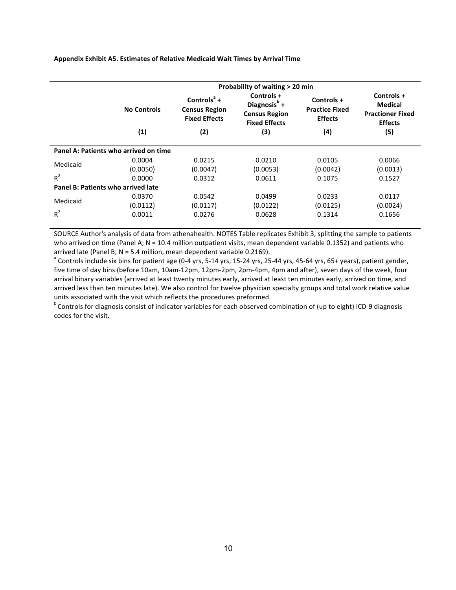#### **Appendix Exhibit A5. Estimates of Relative Medicaid Wait Times by Arrival Time**

|                                    | Probability of waiting > 20 min       |                                                                 |                                                                                        |                                                       |                                                                           |  |  |  |
|------------------------------------|---------------------------------------|-----------------------------------------------------------------|----------------------------------------------------------------------------------------|-------------------------------------------------------|---------------------------------------------------------------------------|--|--|--|
|                                    | No Controls                           | Controls $^a$ +<br><b>Census Region</b><br><b>Fixed Effects</b> | Controls +<br>Diagnosis <sup>b</sup> +<br><b>Census Region</b><br><b>Fixed Effects</b> | Controls +<br><b>Practice Fixed</b><br><b>Effects</b> | Controls +<br><b>Medical</b><br><b>Practioner Fixed</b><br><b>Effects</b> |  |  |  |
|                                    | (1)                                   | (2)                                                             | (3)                                                                                    | (4)                                                   | (5)                                                                       |  |  |  |
|                                    | Panel A: Patients who arrived on time |                                                                 |                                                                                        |                                                       |                                                                           |  |  |  |
| Medicaid                           | 0.0004<br>(0.0050)                    | 0.0215<br>(0.0047)                                              | 0.0210<br>(0.0053)                                                                     | 0.0105<br>(0.0042)                                    | 0.0066<br>(0.0013)                                                        |  |  |  |
| $R^2$                              | 0.0000                                | 0.0312                                                          | 0.0611                                                                                 | 0.1075                                                | 0.1527                                                                    |  |  |  |
| Panel B: Patients who arrived late |                                       |                                                                 |                                                                                        |                                                       |                                                                           |  |  |  |
| Medicaid                           | 0.0370<br>(0.0112)                    | 0.0542<br>(0.0117)                                              | 0.0499<br>(0.0122)                                                                     | 0.0233<br>(0.0125)                                    | 0.0117<br>(0.0024)                                                        |  |  |  |
| $R^2$                              | 0.0011                                | 0.0276                                                          | 0.0628                                                                                 | 0.1314                                                | 0.1656                                                                    |  |  |  |

SOURCE Author's analysis of data from athenahealth. NOTES Table replicates Exhibit 3, splitting the sample to patients who arrived on time (Panel A;  $N = 10.4$  million outpatient visits, mean dependent variable 0.1352) and patients who arrived late (Panel B; N = 5.4 million, mean dependent variable 0.2169).<br><sup>a</sup> Controls include six bins for patient age (0-4 yrs, 5-14 yrs, 15-24 yrs, 25-44 yrs, 45-64 yrs, 65+ years), patient gender,

five time of day bins (before 10am, 10am-12pm, 12pm-2pm, 2pm-4pm, 4pm and after), seven days of the week, four arrival binary variables (arrived at least twenty minutes early, arrived at least ten minutes early, arrived on time, and arrived less than ten minutes late). We also control for twelve physician specialty groups and total work relative value units associated with the visit which reflects the procedures preformed.<br>
<sup>b</sup> Controls for diagnosis consist of indicator variables for each observed combination of (up to eight) ICD-9 diagnosis

codes for the visit.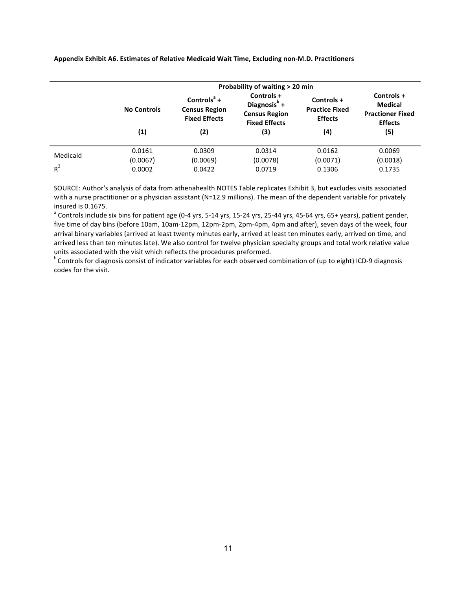|                   | Probability of waiting > 20 min |                                                                                             |                                                                                               |                                                              |                                                                                  |  |  |  |
|-------------------|---------------------------------|---------------------------------------------------------------------------------------------|-----------------------------------------------------------------------------------------------|--------------------------------------------------------------|----------------------------------------------------------------------------------|--|--|--|
|                   | <b>No Controls</b><br>(1)       | Controls <sup><math>a</math></sup> +<br><b>Census Region</b><br><b>Fixed Effects</b><br>(2) | Controls +<br>Diagnosis <sup>b</sup> +<br><b>Census Region</b><br><b>Fixed Effects</b><br>(3) | Controls +<br><b>Practice Fixed</b><br><b>Effects</b><br>(4) | Controls +<br><b>Medical</b><br><b>Practioner Fixed</b><br><b>Effects</b><br>(5) |  |  |  |
| Medicaid<br>$R^2$ | 0.0161<br>(0.0067)<br>0.0002    | 0.0309<br>(0.0069)<br>0.0422                                                                | 0.0314<br>(0.0078)<br>0.0719                                                                  | 0.0162<br>(0.0071)<br>0.1306                                 | 0.0069<br>(0.0018)<br>0.1735                                                     |  |  |  |

Appendix Exhibit A6. Estimates of Relative Medicaid Wait Time, Excluding non-M.D. Practitioners

SOURCE: Author's analysis of data from athenahealth NOTES Table replicates Exhibit 3, but excludes visits associated with a nurse practitioner or a physician assistant (N=12.9 millions). The mean of the dependent variable for privately insured is 0.1675.

<sup>a</sup> Controls include six bins for patient age (0-4 yrs, 5-14 yrs, 15-24 yrs, 25-44 yrs, 45-64 yrs, 65+ years), patient gender, five time of day bins (before 10am, 10am-12pm, 12pm-2pm, 2pm-4pm, 4pm and after), seven days of the week, four arrival binary variables (arrived at least twenty minutes early, arrived at least ten minutes early, arrived on time, and arrived less than ten minutes late). We also control for twelve physician specialty groups and total work relative value

units associated with the visit which reflects the procedures preformed.<br>
<sup>b</sup> Controls for diagnosis consist of indicator variables for each observed combination of (up to eight) ICD-9 diagnosis codes for the visit.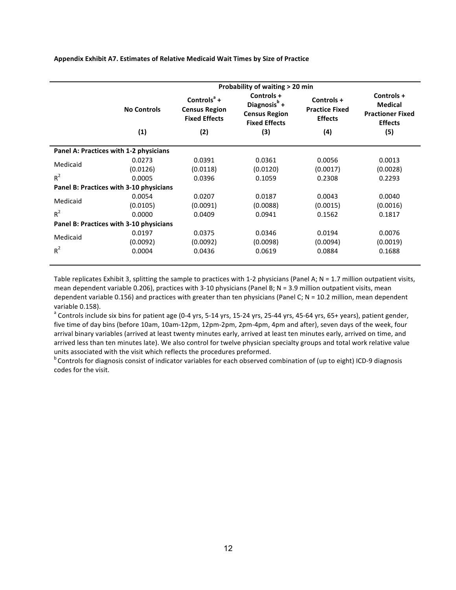| Appendix Exhibit A7. Estimates of Relative Medicaid Wait Times by Size of Practice |  |  |  |  |
|------------------------------------------------------------------------------------|--|--|--|--|
|                                                                                    |  |  |  |  |

|          | Probability of waiting > 20 min         |                                                                |                                                                               |                                                       |                                                                           |  |  |
|----------|-----------------------------------------|----------------------------------------------------------------|-------------------------------------------------------------------------------|-------------------------------------------------------|---------------------------------------------------------------------------|--|--|
|          | <b>No Controls</b>                      | Controls $a +$<br><b>Census Region</b><br><b>Fixed Effects</b> | Controls +<br>Diagnosis $b$ +<br><b>Census Region</b><br><b>Fixed Effects</b> | Controls +<br><b>Practice Fixed</b><br><b>Effects</b> | Controls +<br><b>Medical</b><br><b>Practioner Fixed</b><br><b>Effects</b> |  |  |
|          | (1)                                     | (2)                                                            | (3)                                                                           | (4)                                                   | (5)                                                                       |  |  |
|          | Panel A: Practices with 1-2 physicians  |                                                                |                                                                               |                                                       |                                                                           |  |  |
|          | 0.0273                                  | 0.0391                                                         | 0.0361                                                                        | 0.0056                                                | 0.0013                                                                    |  |  |
| Medicaid | (0.0126)                                | (0.0118)                                                       | (0.0120)                                                                      | (0.0017)                                              | (0.0028)                                                                  |  |  |
| $R^2$    | 0.0005                                  | 0.0396                                                         | 0.1059                                                                        | 0.2308                                                | 0.2293                                                                    |  |  |
|          | Panel B: Practices with 3-10 physicians |                                                                |                                                                               |                                                       |                                                                           |  |  |
|          | 0.0054                                  | 0.0207                                                         | 0.0187                                                                        | 0.0043                                                | 0.0040                                                                    |  |  |
| Medicaid | (0.0105)                                | (0.0091)                                                       | (0.0088)                                                                      | (0.0015)                                              | (0.0016)                                                                  |  |  |
| $R^2$    | 0.0000                                  | 0.0409                                                         | 0.0941                                                                        | 0.1562                                                | 0.1817                                                                    |  |  |
|          | Panel B: Practices with 3-10 physicians |                                                                |                                                                               |                                                       |                                                                           |  |  |
|          | 0.0197                                  | 0.0375                                                         | 0.0346                                                                        | 0.0194                                                | 0.0076                                                                    |  |  |
| Medicaid | (0.0092)                                | (0.0092)                                                       | (0.0098)                                                                      | (0.0094)                                              | (0.0019)                                                                  |  |  |
| $R^2$    | 0.0004                                  | 0.0436                                                         | 0.0619                                                                        | 0.0884                                                | 0.1688                                                                    |  |  |

Table replicates Exhibit 3, splitting the sample to practices with 1-2 physicians (Panel A;  $N = 1.7$  million outpatient visits, mean dependent variable 0.206), practices with 3-10 physicians (Panel B;  $N = 3.9$  million outpatient visits, mean dependent variable 0.156) and practices with greater than ten physicians (Panel C; N = 10.2 million, mean dependent variable 0.158).

<sup>a</sup> Controls include six bins for patient age (0-4 yrs, 5-14 yrs, 15-24 yrs, 25-44 yrs, 45-64 yrs, 65+ years), patient gender, five time of day bins (before 10am, 10am-12pm, 12pm-2pm, 2pm-4pm, 4pm and after), seven days of the week, four arrival binary variables (arrived at least twenty minutes early, arrived at least ten minutes early, arrived on time, and arrived less than ten minutes late). We also control for twelve physician specialty groups and total work relative value units associated with the visit which reflects the procedures preformed.<br>
<sup>b</sup> Controls for diagnosis consist of indicator variables for each observed combination of (up to eight) ICD-9 diagnosis

codes for the visit.